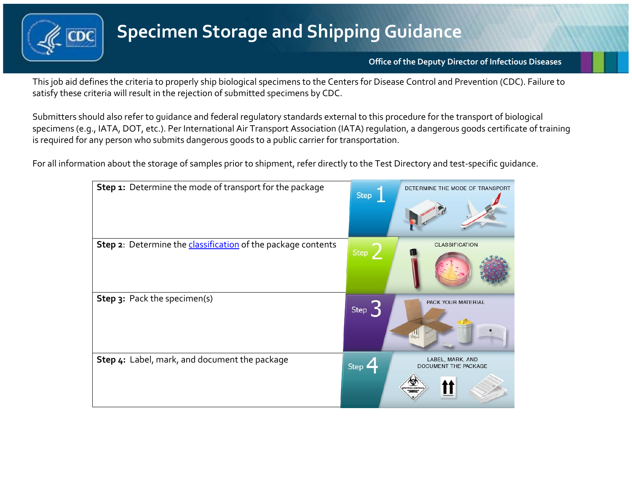

**Office of the Deputy Director of Infectious Diseases**

This job aid defines the criteria to properly ship biological specimens to the Centers for Disease Control and Prevention (CDC). Failure to satisfy these criteria will result in the rejection of submitted specimens by CDC.

Submitters should also refer to guidance and federal regulatory standards external to this procedure for the transport of biological specimens (e.g., IATA, DOT, etc.). Per International Air Transport Association (IATA) regulation, a dangerous goods certificate of training is required for any person who submits dangerous goods to a public carrier for transportation.

For all information about the storage of samples prior to shipment, refer directly to the Test Directory and test-specific guidance.

| Step 1: Determine the mode of transport for the package             | Step                        | DETERMINE THE MODE OF TRANSPORT                      |
|---------------------------------------------------------------------|-----------------------------|------------------------------------------------------|
| Step 2: Determine the <i>classification</i> of the package contents | Step /                      | <b>CLASSIFICATION</b>                                |
| Step 3: Pack the specimen(s)                                        | Step $\mathbf{\mathcal{S}}$ | PACK YOUR MATERIAL                                   |
| Step 4: Label, mark, and document the package                       | Step $\mathbf{Z}$           | LABEL, MARK, AND<br>DOCUMENT THE PACKAGE<br>$\infty$ |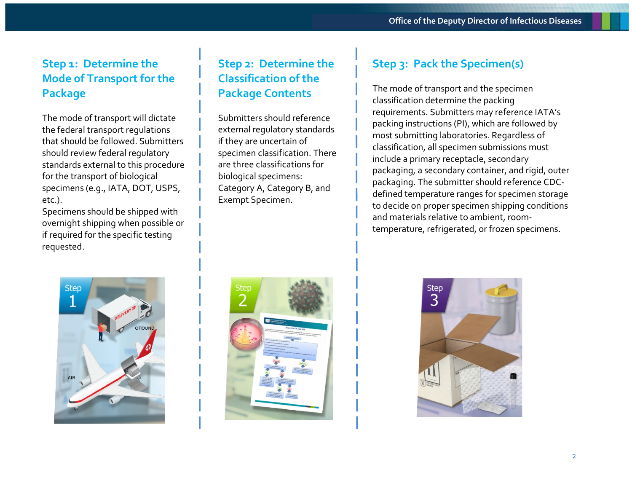## **Step 1: Determine the Mode of Transport for the Package**

The mode of transport will dictate the federal transport regulations that should be followed. Submitters should review federal regulatory standards external to this procedure for the transport of biological specimens (e.g., IATA, DOT, USPS, etc.).

Specimens should be shipped with overnight shipping when possible or if required for the specific testing requested.

# **Step 2: Determine the Classification of the Package Contents**

Submitters should reference external regulatory standards if they are uncertain of specimen classification. There are three classifications for biological specimens: Category A, Category B, and Exempt Specimen.

# **Step 3: Pack the Specimen(s)**

The mode of transport and the specimen classification determine the packing requirements. Submitters may reference IATA's packing instructions (PI), which are followed by most submitting laboratories. Regardless of classification, all specimen submissions must include a primary receptacle, secondary packaging, a secondary container, and rigid, outer packaging. The submitter should reference CDCdefined temperature ranges for specimen storage to decide on proper specimen shipping conditions and materials relative to ambient, roomtemperature, refrigerated, or frozen specimens.





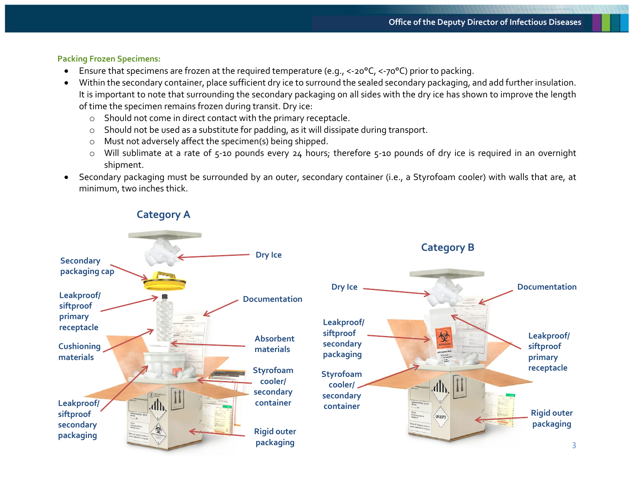#### **Packing Frozen Specimens:**

- Ensure that specimens are frozen at the required temperature (e.g., <-20°C, <-70°C) prior to packing.
- Within the secondary container, place sufficient dry ice to surround the sealed secondary packaging, and add further insulation. It is important to note that surrounding the secondary packaging on all sides with the dry ice has shown to improve the length of time the specimen remains frozen during transit. Dry ice:
	- o Should not come in direct contact with the primary receptacle.
	- o Should not be used as a substitute for padding, as it will dissipate during transport.
	- o Must not adversely affect the specimen(s) being shipped.
	- o Will sublimate at a rate of 5-10 pounds every 24 hours; therefore 5-10 pounds of dry ice is required in an overnight shipment.
- Secondary packaging must be surrounded by an outer, secondary container (i.e., a Styrofoam cooler) with walls that are, at minimum, two inches thick.

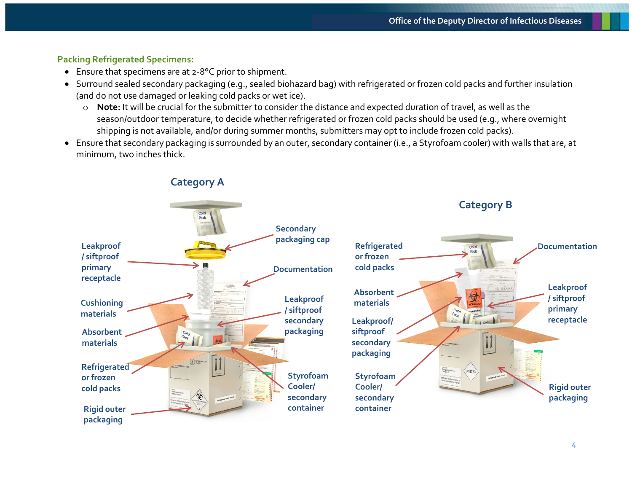### **Packing Refrigerated Specimens:**

- Ensure that specimens are at 2-8°C prior to shipment.
- Surround sealed secondary packaging (e.g., sealed biohazard bag) with refrigerated or frozen cold packs and further insulation (and do not use damaged or leaking cold packs or wet ice).
	- o **Note:** It will be crucial for the submitter to consider the distance and expected duration of travel, as well as the season/outdoor temperature, to decide whether refrigerated or frozen cold packs should be used (e.g., where overnight shipping is not available, and/or during summer months, submitters may opt to include frozen cold packs).
- Ensure that secondary packaging is surrounded by an outer, secondary container (i.e., a Styrofoam cooler) with walls that are, at minimum, two inches thick.

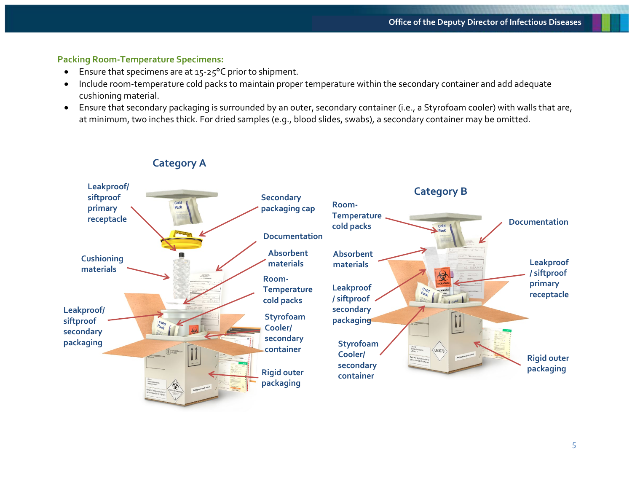#### **Packing Room-Temperature Specimens:**

- Ensure that specimens are at 15-25°C prior to shipment.
- Include room-temperature cold packs to maintain proper temperature within the secondary container and add adequate cushioning material.
- Ensure that secondary packaging is surrounded by an outer, secondary container (i.e., a Styrofoam cooler) with walls that are, at minimum, two inches thick. For dried samples (e.g., blood slides, swabs), a secondary container may be omitted.

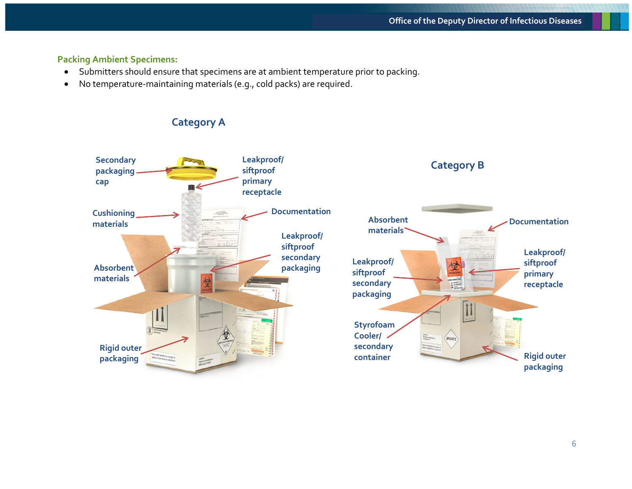#### **Packing Ambient Specimens:**

- Submitters should ensure that specimens are at ambient temperature prior to packing.
- No temperature-maintaining materials (e.g., cold packs) are required.